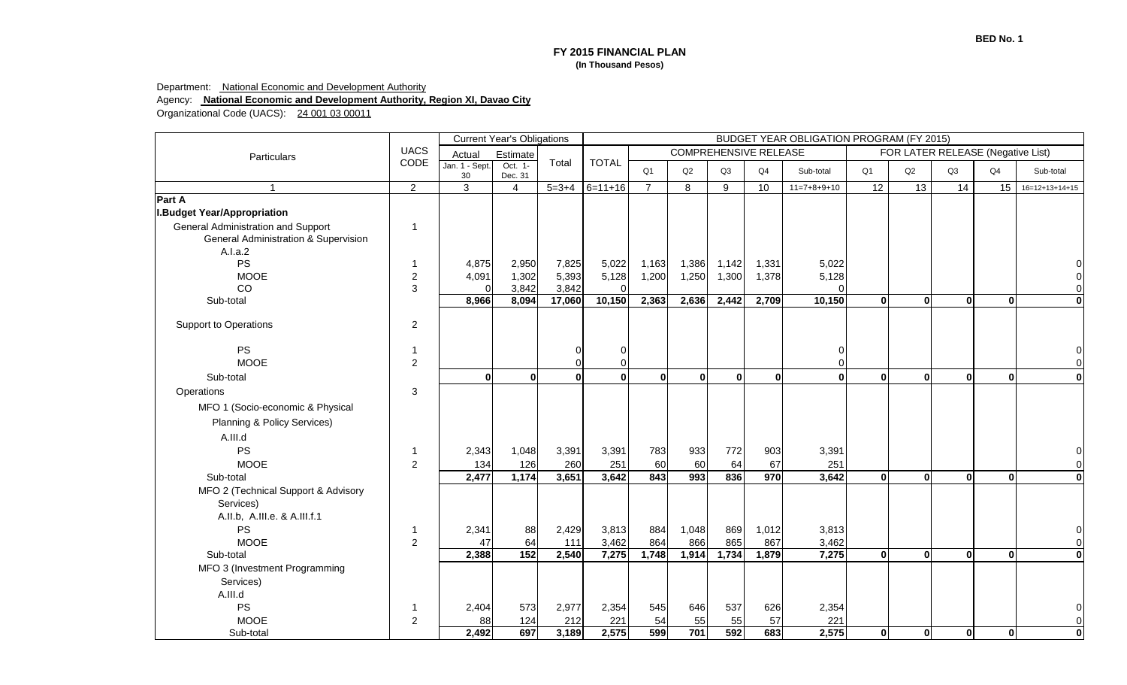# Department: **National Economic and Development Authority** Agency: **National Economic and Development Authority, Region XI, Davao City** Organizational Code (UACS): 24 001 03 00011

|                                      |                |                      | <b>Current Year's Obligations</b> |             | <b>BUDGET YEAR OBLIGATION PROGRAM (FY 2015)</b> |                |                              |              |                |                    |                 |                                   |                |                 |                  |  |  |  |  |  |
|--------------------------------------|----------------|----------------------|-----------------------------------|-------------|-------------------------------------------------|----------------|------------------------------|--------------|----------------|--------------------|-----------------|-----------------------------------|----------------|-----------------|------------------|--|--|--|--|--|
| Particulars                          | <b>UACS</b>    | Actual               | Estimate                          |             |                                                 |                | <b>COMPREHENSIVE RELEASE</b> |              |                |                    |                 | FOR LATER RELEASE (Negative List) |                |                 |                  |  |  |  |  |  |
|                                      | CODE           | Jan. 1 - Sept.<br>30 | Oct. 1-<br>Dec. 31                | Total       | <b>TOTAL</b>                                    | O <sub>1</sub> | Q2                           | Q3           | Q <sub>4</sub> | Sub-total          | Q1              | Q2                                | Q3             | Q <sub>4</sub>  | Sub-total        |  |  |  |  |  |
| $\overline{1}$                       | 2              | 3                    | $\overline{4}$                    | $5 = 3 + 4$ | $6=11+16$                                       | $\overline{7}$ | 8                            | 9            | 10             | $11=7+8+9+10$      | $\overline{12}$ | $\overline{13}$                   | 14             | $\overline{15}$ | $16=12+13+14+15$ |  |  |  |  |  |
| Part A                               |                |                      |                                   |             |                                                 |                |                              |              |                |                    |                 |                                   |                |                 |                  |  |  |  |  |  |
| <b>I.Budget Year/Appropriation</b>   |                |                      |                                   |             |                                                 |                |                              |              |                |                    |                 |                                   |                |                 |                  |  |  |  |  |  |
| General Administration and Support   |                |                      |                                   |             |                                                 |                |                              |              |                |                    |                 |                                   |                |                 |                  |  |  |  |  |  |
| General Administration & Supervision |                |                      |                                   |             |                                                 |                |                              |              |                |                    |                 |                                   |                |                 |                  |  |  |  |  |  |
| A.I.a.2                              |                |                      |                                   |             |                                                 |                |                              |              |                |                    |                 |                                   |                |                 |                  |  |  |  |  |  |
| <b>PS</b>                            |                | 4,875                | 2,950                             | 7,825       | 5,022                                           | 1,163          | 1,386                        | 1,142        | 1,331          | 5,022              |                 |                                   |                |                 |                  |  |  |  |  |  |
| <b>MOOE</b>                          | $\overline{2}$ | 4,091                | 1,302                             | 5,393       | 5,128                                           | 1,200          | 1,250                        | 1,300        | 1,378          | 5,128              |                 |                                   |                |                 |                  |  |  |  |  |  |
| CO                                   | 3              | $\Omega$             | 3,842                             | 3,842       | $\Omega$                                        |                |                              |              |                | $\Omega$<br>10,150 |                 | $\overline{0}$                    | $\overline{0}$ | ΩI              | $\overline{0}$   |  |  |  |  |  |
| Sub-total                            |                | 8,966                | 8,094                             | 17,060      | 10,150                                          | 2,363          | 2,636                        | 2,442        | 2,709          |                    | $\overline{0}$  |                                   |                |                 |                  |  |  |  |  |  |
| <b>Support to Operations</b>         | $\overline{2}$ |                      |                                   |             |                                                 |                |                              |              |                |                    |                 |                                   |                |                 |                  |  |  |  |  |  |
| <b>PS</b>                            |                |                      |                                   | 0           | 0                                               |                |                              |              |                | $\overline{0}$     |                 |                                   |                |                 |                  |  |  |  |  |  |
| <b>MOOE</b>                          | $\overline{2}$ |                      |                                   | O           | $\Omega$                                        |                |                              |              |                | $\Omega$           |                 |                                   |                |                 |                  |  |  |  |  |  |
| Sub-total                            |                | $\mathbf{0}$         | <sup>0</sup>                      | 0           | $\bf{0}$                                        | 0l             | $\mathbf{0}$                 | $\mathbf{0}$ | $\mathbf{0}$   | $\mathbf{0}$       | 0l              | $\mathbf{0}$                      | 0              | $\mathbf{0}$    | 0                |  |  |  |  |  |
| Operations                           | 3              |                      |                                   |             |                                                 |                |                              |              |                |                    |                 |                                   |                |                 |                  |  |  |  |  |  |
| MFO 1 (Socio-economic & Physical     |                |                      |                                   |             |                                                 |                |                              |              |                |                    |                 |                                   |                |                 |                  |  |  |  |  |  |
| Planning & Policy Services)          |                |                      |                                   |             |                                                 |                |                              |              |                |                    |                 |                                   |                |                 |                  |  |  |  |  |  |
| A.III.d                              |                |                      |                                   |             |                                                 |                |                              |              |                |                    |                 |                                   |                |                 |                  |  |  |  |  |  |
| <b>PS</b>                            |                | 2,343                | 1,048                             | 3,391       | 3,391                                           | 783            | 933                          | 772          | 903            | 3,391              |                 |                                   |                |                 |                  |  |  |  |  |  |
| <b>MOOE</b>                          | 2              | 134                  | 126                               | 260         | 251                                             | 60             | 60                           | 64           | 67             | 251                |                 |                                   |                |                 |                  |  |  |  |  |  |
| Sub-total                            |                | 2,477                | 1,174                             | 3,651       | 3,642                                           | 843            | 993                          | 836          | 970            | 3,642              | 0l              | $\mathbf{0}$                      | 0l             | $\Omega$        | $\mathbf{0}$     |  |  |  |  |  |
| MFO 2 (Technical Support & Advisory  |                |                      |                                   |             |                                                 |                |                              |              |                |                    |                 |                                   |                |                 |                  |  |  |  |  |  |
| Services)                            |                |                      |                                   |             |                                                 |                |                              |              |                |                    |                 |                                   |                |                 |                  |  |  |  |  |  |
| A.II.b, A.III.e. & A.III.f.1         |                |                      |                                   |             |                                                 |                |                              |              |                |                    |                 |                                   |                |                 |                  |  |  |  |  |  |
| <b>PS</b>                            |                | 2,341                | 88                                | 2,429       | 3,813                                           | 884            | 1,048                        | 869          | 1,012          | 3,813              |                 |                                   |                |                 |                  |  |  |  |  |  |
| <b>MOOE</b>                          | $\overline{2}$ | 47                   | 64                                | 111         | 3,462                                           | 864            | 866                          | 865          | 867            | 3,462              |                 |                                   |                |                 |                  |  |  |  |  |  |
| Sub-total                            |                | 2,388                | 152                               | 2,540       | 7,275                                           | 1,748          | 1,914                        | 1,734        | 1,879          | 7,275              | 0               | $\mathbf{0}$                      | 0l             | ΩI              | $\mathbf{0}$     |  |  |  |  |  |
| MFO 3 (Investment Programming        |                |                      |                                   |             |                                                 |                |                              |              |                |                    |                 |                                   |                |                 |                  |  |  |  |  |  |
| Services)                            |                |                      |                                   |             |                                                 |                |                              |              |                |                    |                 |                                   |                |                 |                  |  |  |  |  |  |
| A.III.d                              |                |                      |                                   |             |                                                 |                |                              |              |                |                    |                 |                                   |                |                 |                  |  |  |  |  |  |
| PS                                   |                | 2,404                | 573                               | 2,977       | 2,354                                           | 545            | 646                          | 537          | 626            | 2,354              |                 |                                   |                |                 |                  |  |  |  |  |  |
| <b>MOOE</b>                          | 2              | 88                   | 124                               | 212         | 221                                             | 54             | 55                           | 55           | 57             | 221                |                 |                                   |                |                 | 0I               |  |  |  |  |  |
| Sub-total                            |                | 2,492                | 697                               | 3,189       | 2,575                                           | 599            | 701                          | 592          | 683            | 2,575              | $\overline{0}$  | 0                                 | 0l             | $\mathbf{0}$    | $\mathbf{0}$     |  |  |  |  |  |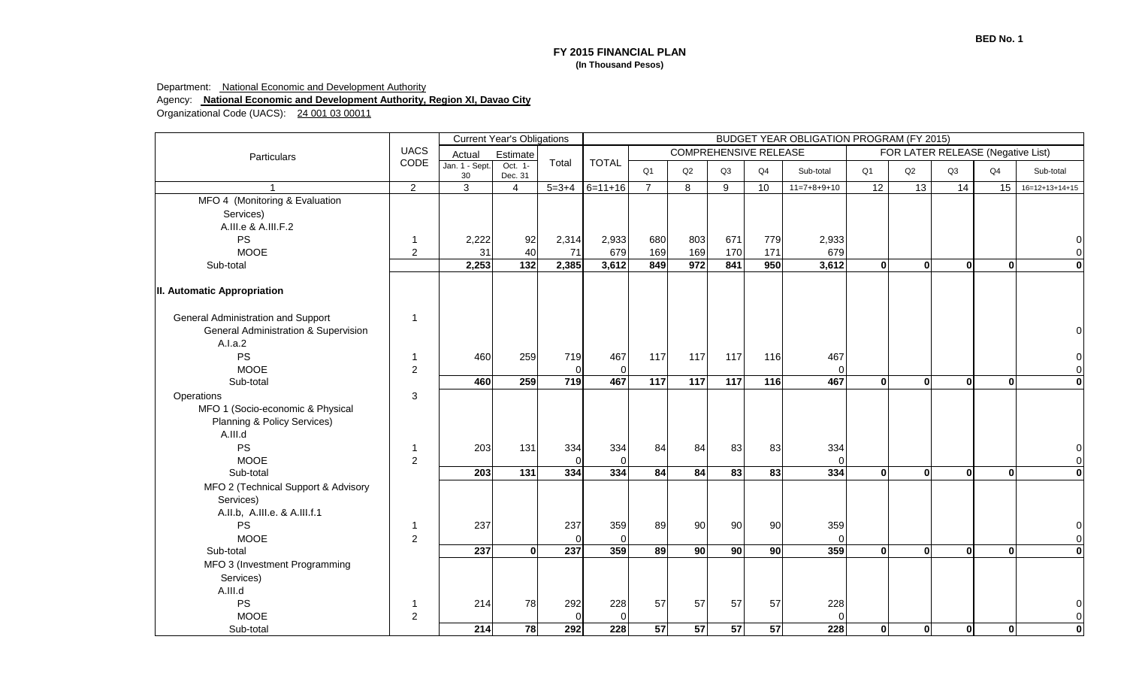# Department: **National Economic and Development Authority** Agency: **National Economic and Development Authority, Region XI, Davao City** Organizational Code (UACS): 24 001 03 00011

|                                      |                |                      | <b>Current Year's Obligations</b> |                  | <b>BUDGET YEAR OBLIGATION PROGRAM (FY 2015)</b> |                 |                              |                 |     |               |                         |                                   |              |                 |                         |
|--------------------------------------|----------------|----------------------|-----------------------------------|------------------|-------------------------------------------------|-----------------|------------------------------|-----------------|-----|---------------|-------------------------|-----------------------------------|--------------|-----------------|-------------------------|
| Particulars                          | <b>UACS</b>    | Actual               | Estimate                          |                  |                                                 |                 | <b>COMPREHENSIVE RELEASE</b> |                 |     |               |                         | FOR LATER RELEASE (Negative List) |              |                 |                         |
|                                      | CODE           | Jan. 1 - Sept.<br>30 | Oct. 1-<br>Dec. 31                | Total            | <b>TOTAL</b>                                    | O <sub>1</sub>  | Q2                           | Q3              | Q4  | Sub-total     | Q <sub>1</sub>          | Q2                                | Q3           | Q <sub>4</sub>  | Sub-total               |
|                                      | 2              | 3                    | $\overline{4}$                    |                  | $5=3+4$ $6=11+16$                               | $\overline{7}$  | 8                            | 9               | 10  | $11=7+8+9+10$ | 12                      | 13                                | 14           | $\overline{15}$ | $16=12+13+14+15$        |
| MFO 4 (Monitoring & Evaluation       |                |                      |                                   |                  |                                                 |                 |                              |                 |     |               |                         |                                   |              |                 |                         |
| Services)                            |                |                      |                                   |                  |                                                 |                 |                              |                 |     |               |                         |                                   |              |                 |                         |
| A.III.e & A.III.F.2                  |                |                      |                                   |                  |                                                 |                 |                              |                 |     |               |                         |                                   |              |                 |                         |
| <b>PS</b>                            |                | 2,222                | 92                                | 2,314            | 2,933                                           | 680             | 803                          | 671             | 779 | 2,933         |                         |                                   |              |                 |                         |
| <b>MOOE</b>                          | $\overline{2}$ | 31                   | 40                                | 71               | 679                                             | 169             | 169                          | 170             | 171 | 679           |                         |                                   |              |                 | $\overline{0}$          |
| Sub-total                            |                | 2,253                | $\overline{132}$                  | 2,385            | 3,612                                           | 849             | 972                          | 841             | 950 | 3,612         | 0l                      | $\mathbf{0}$                      | 0l           | 0l              | $\mathbf{0}$            |
| II. Automatic Appropriation          |                |                      |                                   |                  |                                                 |                 |                              |                 |     |               |                         |                                   |              |                 |                         |
| General Administration and Support   |                |                      |                                   |                  |                                                 |                 |                              |                 |     |               |                         |                                   |              |                 |                         |
| General Administration & Supervision |                |                      |                                   |                  |                                                 |                 |                              |                 |     |               |                         |                                   |              |                 |                         |
| A.I.a.2                              |                |                      |                                   |                  |                                                 |                 |                              |                 |     |               |                         |                                   |              |                 |                         |
| PS                                   |                | 460                  | 259                               | 719              | 467                                             | 117             | 117                          | 117             | 116 | 467           |                         |                                   |              |                 |                         |
| <b>MOOE</b>                          | $\overline{2}$ |                      |                                   | $\Omega$         | $\Omega$                                        |                 |                              |                 |     | $\Omega$      |                         |                                   |              |                 | $\overline{0}$          |
| Sub-total                            |                | 460                  | 259                               | 719              | 467                                             | $\frac{1}{117}$ | $\overline{117}$             | $\frac{1}{117}$ | 116 | 467           | 0l                      | 0                                 | 0l           | 0               | $\mathbf{0}$            |
| Operations                           | 3              |                      |                                   |                  |                                                 |                 |                              |                 |     |               |                         |                                   |              |                 |                         |
| MFO 1 (Socio-economic & Physical     |                |                      |                                   |                  |                                                 |                 |                              |                 |     |               |                         |                                   |              |                 |                         |
| Planning & Policy Services)          |                |                      |                                   |                  |                                                 |                 |                              |                 |     |               |                         |                                   |              |                 |                         |
| A.III.d                              |                |                      |                                   |                  |                                                 |                 |                              |                 |     |               |                         |                                   |              |                 |                         |
| PS                                   |                | 203                  | 131                               | 334              | 334                                             | 84              | 84                           | 83              | 83  | 334           |                         |                                   |              |                 |                         |
| <b>MOOE</b>                          | 2              |                      |                                   |                  | $\Omega$                                        |                 |                              |                 |     |               |                         |                                   |              |                 | $\overline{0}$          |
| Sub-total                            |                | $\overline{203}$     | 131                               | 334              | 334                                             | 84              | 84                           | 83              | 83  | 334           | 0l                      | 0l                                | $\mathbf{0}$ | 0l              | $\mathbf{0}$            |
| MFO 2 (Technical Support & Advisory  |                |                      |                                   |                  |                                                 |                 |                              |                 |     |               |                         |                                   |              |                 |                         |
| Services)                            |                |                      |                                   |                  |                                                 |                 |                              |                 |     |               |                         |                                   |              |                 |                         |
| A.II.b, A.III.e. & A.III.f.1         |                |                      |                                   |                  |                                                 |                 |                              |                 |     |               |                         |                                   |              |                 |                         |
| <b>PS</b>                            |                | 237                  |                                   | 237              | 359                                             | 89              | 90                           | 90              | 90  | 359           |                         |                                   |              |                 |                         |
| <b>MOOE</b>                          | $\overline{2}$ |                      |                                   | $\Omega$         | $\Omega$                                        |                 |                              |                 |     | $\Omega$      |                         |                                   |              |                 | $\overline{0}$          |
| Sub-total                            |                | 237                  | 0l                                | $\overline{237}$ | 359                                             | 89              | 90                           | 90              | 90  | 359           | 0l                      | 0l                                | 0l           | 0l              | 0                       |
| MFO 3 (Investment Programming        |                |                      |                                   |                  |                                                 |                 |                              |                 |     |               |                         |                                   |              |                 |                         |
| Services)                            |                |                      |                                   |                  |                                                 |                 |                              |                 |     |               |                         |                                   |              |                 |                         |
| A.III.d                              |                |                      |                                   |                  |                                                 |                 |                              |                 |     |               |                         |                                   |              |                 |                         |
| PS                                   |                | 214                  | 78                                | 292              | 228                                             | 57              | 57                           | 57              | 57  | 228           |                         |                                   |              |                 | $\overline{0}$          |
| <b>MOOE</b>                          | $\overline{2}$ |                      |                                   | $\Omega$         | $\Omega$                                        |                 |                              |                 |     | $\Omega$      |                         |                                   |              |                 | $\overline{0}$          |
| Sub-total                            |                | $\overline{214}$     | 78                                | 292              | $\overline{228}$                                | 57              | 57                           | 57              | 57  | 228           | $\overline{\mathbf{0}}$ | $\overline{0}$                    | 0l           | 0l              | $\overline{\mathbf{0}}$ |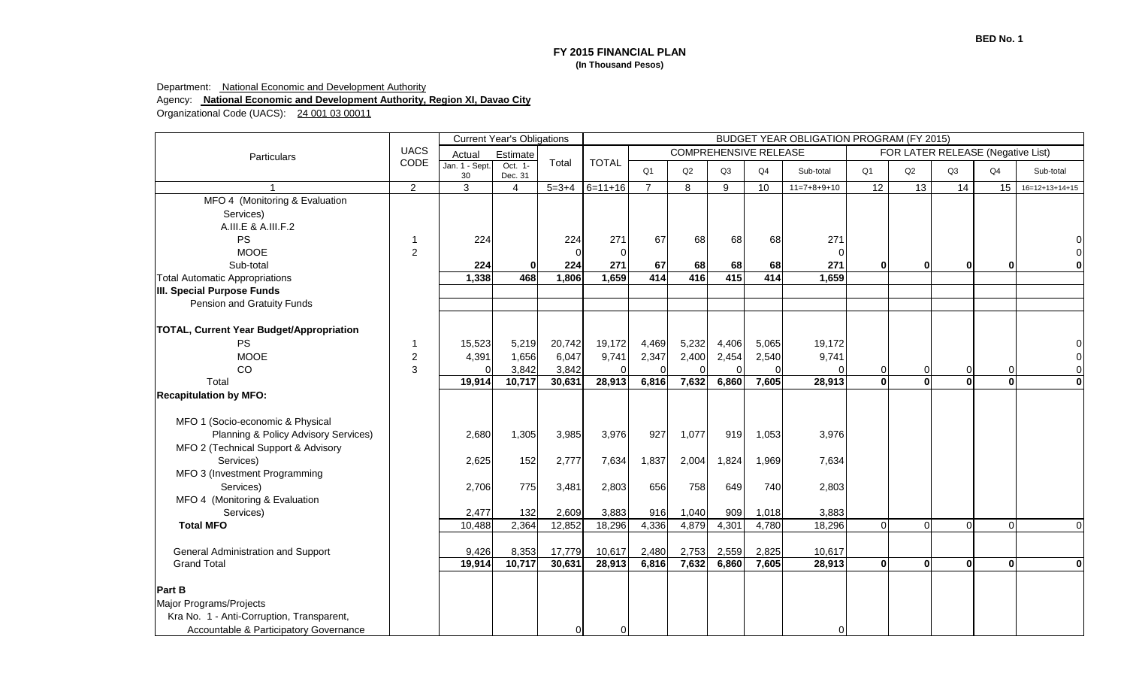# Department: **National Economic and Development Authority** Agency: **National Economic and Development Authority, Region XI, Davao City** Organizational Code (UACS): 24 001 03 00011

|                                                                                                                                                               | <b>Current Year's Obligations</b><br><b>BUDGET YEAR OBLIGATION PROGRAM (FY 2015)</b> |                      |                    |                |                |                |                |              |                              |                |                |              |                                   |                |                  |
|---------------------------------------------------------------------------------------------------------------------------------------------------------------|--------------------------------------------------------------------------------------|----------------------|--------------------|----------------|----------------|----------------|----------------|--------------|------------------------------|----------------|----------------|--------------|-----------------------------------|----------------|------------------|
| <b>Particulars</b>                                                                                                                                            | <b>UACS</b>                                                                          | Actual               | Estimate           |                |                |                |                |              | <b>COMPREHENSIVE RELEASE</b> |                |                |              | FOR LATER RELEASE (Negative List) |                |                  |
|                                                                                                                                                               | CODE                                                                                 | Jan. 1 - Sept.<br>30 | Oct. 1-<br>Dec. 31 | Total          | <b>TOTAL</b>   | O <sub>1</sub> | Q2             | Q3           | Q <sub>4</sub>               | Sub-total      | Q <sub>1</sub> | Q2           | Q <sub>3</sub>                    | Q <sub>4</sub> | Sub-total        |
|                                                                                                                                                               | $\overline{2}$                                                                       | 3                    | $\overline{4}$     | $5=3+4$        | $6=11+16$      | $\overline{7}$ | 8              | 9            | 10                           | $11=7+8+9+10$  | 12             | 13           | 14                                | 15             | $16=12+13+14+15$ |
| MFO 4 (Monitoring & Evaluation<br>Services)<br>A.III.E & A.III.F.2                                                                                            |                                                                                      |                      |                    |                |                |                |                |              |                              |                |                |              |                                   |                |                  |
| <b>PS</b>                                                                                                                                                     | 1                                                                                    | 224                  |                    | 224            | 271            | 67             | 68             | 68           | 68                           | 271            |                |              |                                   |                |                  |
| <b>MOOE</b>                                                                                                                                                   | $\overline{2}$                                                                       |                      |                    | $\Omega$       | $\Omega$       |                |                |              |                              |                |                |              |                                   |                |                  |
| Sub-total                                                                                                                                                     |                                                                                      | 224                  | 01                 | 224            | 271            | 67             | 68             | 68           | 68                           | 271            | $\mathbf 0$    | $\bf{0}$     | U                                 | U              |                  |
| <b>Total Automatic Appropriations</b>                                                                                                                         |                                                                                      | 1,338                | 468                | 1,806          | 1,659          | 414            | 416            | 415          | 414                          | 1,659          |                |              |                                   |                |                  |
| III. Special Purpose Funds                                                                                                                                    |                                                                                      |                      |                    |                |                |                |                |              |                              |                |                |              |                                   |                |                  |
| Pension and Gratuity Funds                                                                                                                                    |                                                                                      |                      |                    |                |                |                |                |              |                              |                |                |              |                                   |                |                  |
| <b>TOTAL, Current Year Budget/Appropriation</b>                                                                                                               |                                                                                      |                      |                    |                |                |                |                |              |                              |                |                |              |                                   |                |                  |
| <b>PS</b>                                                                                                                                                     |                                                                                      | 15,523               | 5,219              | 20,742         | 19,172         | 4,469          | 5,232          | 4,406        | 5,065                        | 19,172         |                |              |                                   |                |                  |
| <b>MOOE</b>                                                                                                                                                   | $\overline{c}$                                                                       | 4,391                | 1,656              | 6,047          | 9,741          | 2,347          | 2,400          | 2,454        | 2,540                        | 9,741          |                |              |                                   |                |                  |
| CO                                                                                                                                                            | 3                                                                                    |                      | 3,842              | 3,842          | $\Omega$       |                |                | $\Omega$     | $\Omega$                     | $\Omega$       | $\Omega$       | 0            |                                   |                |                  |
| Total                                                                                                                                                         |                                                                                      | 19,914               | 10,717             | 30,631         | 28,913         | 6,816          | 7,632          | 6,860        | 7,605                        | 28,913         | $\Omega$       | $\Omega$     | $\Omega$                          | 0              | <sup>0</sup>     |
| <b>Recapitulation by MFO:</b>                                                                                                                                 |                                                                                      |                      |                    |                |                |                |                |              |                              |                |                |              |                                   |                |                  |
| MFO 1 (Socio-economic & Physical<br>Planning & Policy Advisory Services)<br>MFO 2 (Technical Support & Advisory<br>Services)<br>MFO 3 (Investment Programming |                                                                                      | 2,680<br>2,625       | 1,305<br>152       | 3,985<br>2,777 | 3,976<br>7,634 | 927<br>1,837   | 1,077<br>2,004 | 919<br>1,824 | 1,053<br>1,969               | 3,976<br>7,634 |                |              |                                   |                |                  |
| Services)<br>MFO 4 (Monitoring & Evaluation                                                                                                                   |                                                                                      | 2,706                | 775                | 3,481          | 2,803          | 656            | 758            | 649          | 740                          | 2,803          |                |              |                                   |                |                  |
| Services)<br><b>Total MFO</b>                                                                                                                                 |                                                                                      | 2,477                | 132<br>2,364       | 2,609          | 3,883          | 916<br>4,336   | 1,040          | 909<br>4,301 | 1,018                        | 3,883          | $\Omega$       | $\Omega$     | $\Omega$                          | $\Omega$       |                  |
|                                                                                                                                                               |                                                                                      | 10,488               |                    | 12,852         | 18,296         |                | 4,879          |              | 4,780                        | 18,296         |                |              |                                   |                | $\Omega$         |
| <b>General Administration and Support</b>                                                                                                                     |                                                                                      | 9,426                | 8,353              | 17,779         | 10,617         | 2,480          | 2,753          | 2,559        | 2,825                        | 10,617         |                |              |                                   |                |                  |
| <b>Grand Total</b>                                                                                                                                            |                                                                                      | 19,914               | 10,717             | 30,631         | 28,913         | 6,816          | 7,632          | 6,860        | 7,605                        | 28,913         | $\mathbf{0}$   | $\mathbf{0}$ | $\mathbf{0}$                      | $\Omega$       | $\mathbf{0}$     |
| <b>Part B</b><br>Major Programs/Projects<br>Kra No. 1 - Anti-Corruption, Transparent,<br>Accountable & Participatory Governance                               |                                                                                      |                      |                    | $\Omega$       | O              |                |                |              |                              | $\Omega$       |                |              |                                   |                |                  |